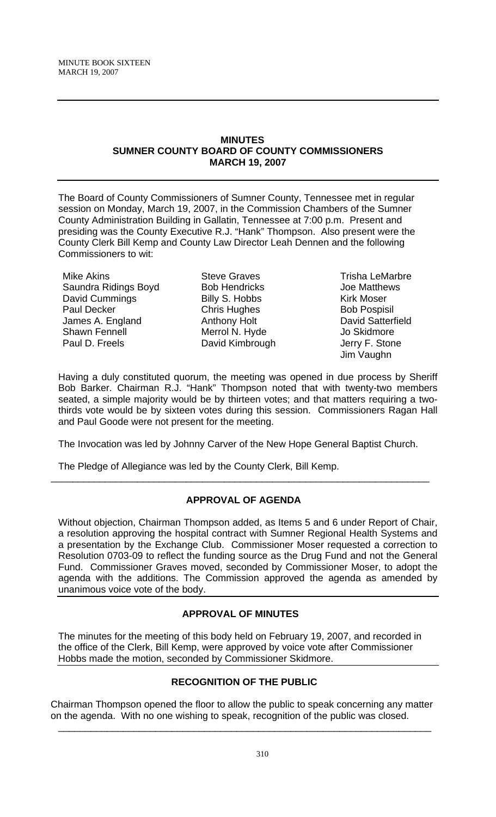## **MINUTES SUMNER COUNTY BOARD OF COUNTY COMMISSIONERS MARCH 19, 2007**

The Board of County Commissioners of Sumner County, Tennessee met in regular session on Monday, March 19, 2007, in the Commission Chambers of the Sumner County Administration Building in Gallatin, Tennessee at 7:00 p.m. Present and presiding was the County Executive R.J. "Hank" Thompson. Also present were the County Clerk Bill Kemp and County Law Director Leah Dennen and the following Commissioners to wit:

Mike Akins Saundra Ridings Boyd David Cummings Paul Decker James A. England Shawn Fennell Paul D. Freels

Steve Graves Bob Hendricks Billy S. Hobbs Chris Hughes Anthony Holt Merrol N. Hyde David Kimbrough

Trisha LeMarbre Joe Matthews Kirk Moser Bob Pospisil David Satterfield Jo Skidmore Jerry F. Stone Jim Vaughn

Having a duly constituted quorum, the meeting was opened in due process by Sheriff Bob Barker. Chairman R.J. "Hank" Thompson noted that with twenty-two members seated, a simple majority would be by thirteen votes; and that matters requiring a twothirds vote would be by sixteen votes during this session. Commissioners Ragan Hall and Paul Goode were not present for the meeting.

The Invocation was led by Johnny Carver of the New Hope General Baptist Church.

\_\_\_\_\_\_\_\_\_\_\_\_\_\_\_\_\_\_\_\_\_\_\_\_\_\_\_\_\_\_\_\_\_\_\_\_\_\_\_\_\_\_\_\_\_\_\_\_\_\_\_\_\_\_\_\_\_\_\_\_\_\_\_\_\_\_\_\_\_\_

The Pledge of Allegiance was led by the County Clerk, Bill Kemp.

# **APPROVAL OF AGENDA**

Without objection, Chairman Thompson added, as Items 5 and 6 under Report of Chair, a resolution approving the hospital contract with Sumner Regional Health Systems and a presentation by the Exchange Club. Commissioner Moser requested a correction to Resolution 0703-09 to reflect the funding source as the Drug Fund and not the General Fund. Commissioner Graves moved, seconded by Commissioner Moser, to adopt the agenda with the additions. The Commission approved the agenda as amended by unanimous voice vote of the body.

# **APPROVAL OF MINUTES**

The minutes for the meeting of this body held on February 19, 2007, and recorded in the office of the Clerk, Bill Kemp, were approved by voice vote after Commissioner Hobbs made the motion, seconded by Commissioner Skidmore.

# **RECOGNITION OF THE PUBLIC**

Chairman Thompson opened the floor to allow the public to speak concerning any matter on the agenda. With no one wishing to speak, recognition of the public was closed.

\_\_\_\_\_\_\_\_\_\_\_\_\_\_\_\_\_\_\_\_\_\_\_\_\_\_\_\_\_\_\_\_\_\_\_\_\_\_\_\_\_\_\_\_\_\_\_\_\_\_\_\_\_\_\_\_\_\_\_\_\_\_\_\_\_\_\_\_\_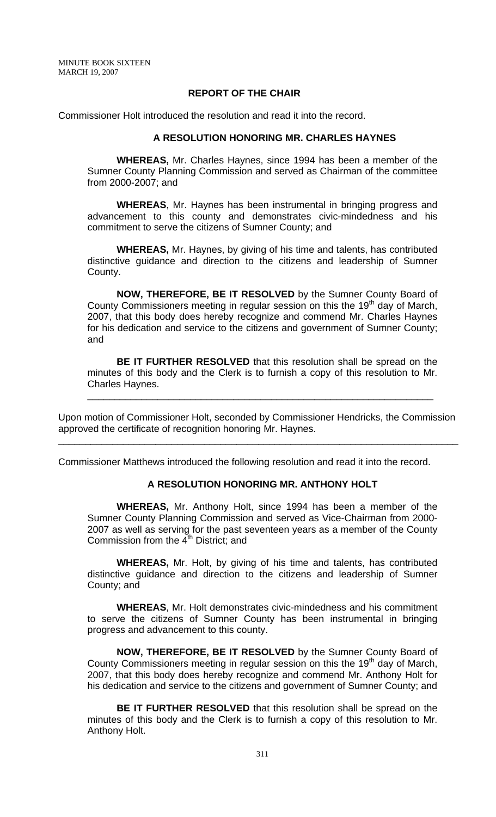### **REPORT OF THE CHAIR**

Commissioner Holt introduced the resolution and read it into the record.

#### **A RESOLUTION HONORING MR. CHARLES HAYNES**

**WHEREAS,** Mr. Charles Haynes, since 1994 has been a member of the Sumner County Planning Commission and served as Chairman of the committee from 2000-2007; and

**WHEREAS**, Mr. Haynes has been instrumental in bringing progress and advancement to this county and demonstrates civic-mindedness and his commitment to serve the citizens of Sumner County; and

**WHEREAS,** Mr. Haynes, by giving of his time and talents, has contributed distinctive guidance and direction to the citizens and leadership of Sumner County.

**NOW, THEREFORE, BE IT RESOLVED** by the Sumner County Board of County Commissioners meeting in regular session on this the 19<sup>th</sup> day of March, 2007, that this body does hereby recognize and commend Mr. Charles Haynes for his dedication and service to the citizens and government of Sumner County; and

**BE IT FURTHER RESOLVED** that this resolution shall be spread on the minutes of this body and the Clerk is to furnish a copy of this resolution to Mr. Charles Haynes.

\_\_\_\_\_\_\_\_\_\_\_\_\_\_\_\_\_\_\_\_\_\_\_\_\_\_\_\_\_\_\_\_\_\_\_\_\_\_\_\_\_\_\_\_\_\_\_\_\_\_\_\_\_\_\_\_\_\_\_\_\_\_\_\_

Upon motion of Commissioner Holt, seconded by Commissioner Hendricks, the Commission approved the certificate of recognition honoring Mr. Haynes.

\_\_\_\_\_\_\_\_\_\_\_\_\_\_\_\_\_\_\_\_\_\_\_\_\_\_\_\_\_\_\_\_\_\_\_\_\_\_\_\_\_\_\_\_\_\_\_\_\_\_\_\_\_\_\_\_\_\_\_\_\_\_\_\_\_\_\_\_\_\_\_\_\_\_

Commissioner Matthews introduced the following resolution and read it into the record.

# **A RESOLUTION HONORING MR. ANTHONY HOLT**

**WHEREAS,** Mr. Anthony Holt, since 1994 has been a member of the Sumner County Planning Commission and served as Vice-Chairman from 2000- 2007 as well as serving for the past seventeen years as a member of the County Commission from the 4<sup>th</sup> District; and

**WHEREAS,** Mr. Holt, by giving of his time and talents, has contributed distinctive guidance and direction to the citizens and leadership of Sumner County; and

**WHEREAS**, Mr. Holt demonstrates civic-mindedness and his commitment to serve the citizens of Sumner County has been instrumental in bringing progress and advancement to this county.

**NOW, THEREFORE, BE IT RESOLVED** by the Sumner County Board of County Commissioners meeting in regular session on this the 19<sup>th</sup> day of March, 2007, that this body does hereby recognize and commend Mr. Anthony Holt for his dedication and service to the citizens and government of Sumner County; and

**BE IT FURTHER RESOLVED** that this resolution shall be spread on the minutes of this body and the Clerk is to furnish a copy of this resolution to Mr. Anthony Holt.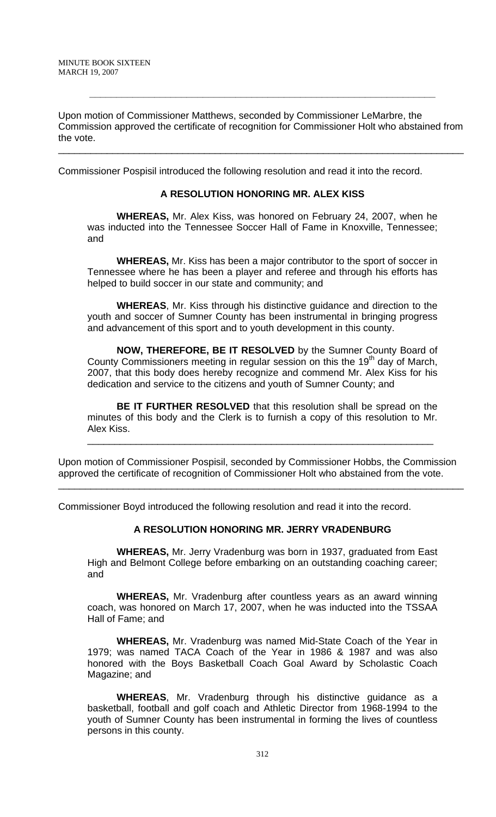Upon motion of Commissioner Matthews, seconded by Commissioner LeMarbre, the Commission approved the certificate of recognition for Commissioner Holt who abstained from the vote.

\_\_\_\_\_\_\_\_\_\_\_\_\_\_\_\_\_\_\_\_\_\_\_\_\_\_\_\_\_\_\_\_\_\_\_\_\_\_\_\_\_\_\_\_\_\_\_\_\_\_\_\_\_\_\_\_\_\_\_\_\_\_\_\_\_\_\_\_\_\_\_\_\_\_\_

**\_\_\_\_\_\_\_\_\_\_\_\_\_\_\_\_\_\_\_\_\_\_\_\_\_\_\_\_\_\_\_\_\_\_\_\_\_\_\_\_\_\_\_\_\_\_\_\_\_\_\_\_\_\_\_\_\_\_\_\_\_\_\_\_**

Commissioner Pospisil introduced the following resolution and read it into the record.

#### **A RESOLUTION HONORING MR. ALEX KISS**

**WHEREAS,** Mr. Alex Kiss, was honored on February 24, 2007, when he was inducted into the Tennessee Soccer Hall of Fame in Knoxville, Tennessee; and

**WHEREAS,** Mr. Kiss has been a major contributor to the sport of soccer in Tennessee where he has been a player and referee and through his efforts has helped to build soccer in our state and community; and

**WHEREAS**, Mr. Kiss through his distinctive guidance and direction to the youth and soccer of Sumner County has been instrumental in bringing progress and advancement of this sport and to youth development in this county.

**NOW, THEREFORE, BE IT RESOLVED** by the Sumner County Board of County Commissioners meeting in regular session on this the 19<sup>th</sup> day of March, 2007, that this body does hereby recognize and commend Mr. Alex Kiss for his dedication and service to the citizens and youth of Sumner County; and

**BE IT FURTHER RESOLVED** that this resolution shall be spread on the minutes of this body and the Clerk is to furnish a copy of this resolution to Mr. Alex Kiss.

Upon motion of Commissioner Pospisil, seconded by Commissioner Hobbs, the Commission approved the certificate of recognition of Commissioner Holt who abstained from the vote.

\_\_\_\_\_\_\_\_\_\_\_\_\_\_\_\_\_\_\_\_\_\_\_\_\_\_\_\_\_\_\_\_\_\_\_\_\_\_\_\_\_\_\_\_\_\_\_\_\_\_\_\_\_\_\_\_\_\_\_\_\_\_\_\_\_\_\_\_\_\_\_\_\_\_\_

\_\_\_\_\_\_\_\_\_\_\_\_\_\_\_\_\_\_\_\_\_\_\_\_\_\_\_\_\_\_\_\_\_\_\_\_\_\_\_\_\_\_\_\_\_\_\_\_\_\_\_\_\_\_\_\_\_\_\_\_\_\_\_\_

Commissioner Boyd introduced the following resolution and read it into the record.

# **A RESOLUTION HONORING MR. JERRY VRADENBURG**

**WHEREAS,** Mr. Jerry Vradenburg was born in 1937, graduated from East High and Belmont College before embarking on an outstanding coaching career; and

**WHEREAS,** Mr. Vradenburg after countless years as an award winning coach, was honored on March 17, 2007, when he was inducted into the TSSAA Hall of Fame; and

**WHEREAS,** Mr. Vradenburg was named Mid-State Coach of the Year in 1979; was named TACA Coach of the Year in 1986 & 1987 and was also honored with the Boys Basketball Coach Goal Award by Scholastic Coach Magazine; and

**WHEREAS**, Mr. Vradenburg through his distinctive guidance as a basketball, football and golf coach and Athletic Director from 1968-1994 to the youth of Sumner County has been instrumental in forming the lives of countless persons in this county.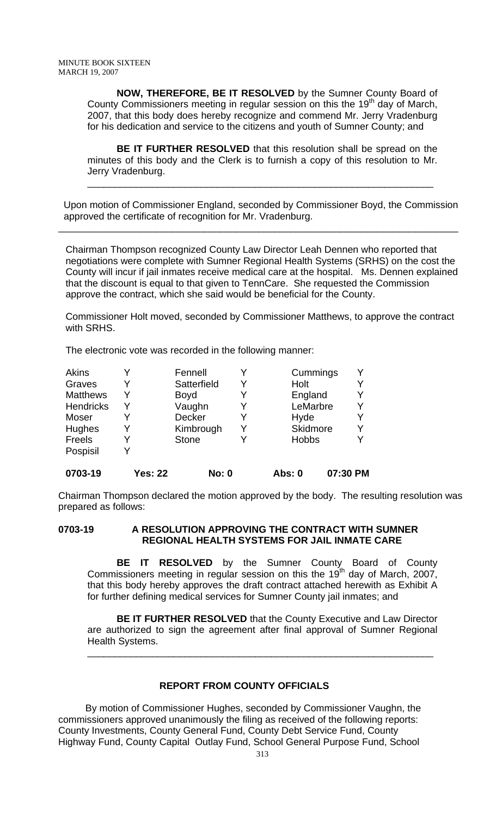**NOW, THEREFORE, BE IT RESOLVED** by the Sumner County Board of County Commissioners meeting in regular session on this the  $19<sup>th</sup>$  day of March, 2007, that this body does hereby recognize and commend Mr. Jerry Vradenburg for his dedication and service to the citizens and youth of Sumner County; and

**BE IT FURTHER RESOLVED** that this resolution shall be spread on the minutes of this body and the Clerk is to furnish a copy of this resolution to Mr. Jerry Vradenburg.

 Upon motion of Commissioner England, seconded by Commissioner Boyd, the Commission approved the certificate of recognition for Mr. Vradenburg.

\_\_\_\_\_\_\_\_\_\_\_\_\_\_\_\_\_\_\_\_\_\_\_\_\_\_\_\_\_\_\_\_\_\_\_\_\_\_\_\_\_\_\_\_\_\_\_\_\_\_\_\_\_\_\_\_\_\_\_\_\_\_\_\_\_\_\_\_\_\_\_\_\_\_

\_\_\_\_\_\_\_\_\_\_\_\_\_\_\_\_\_\_\_\_\_\_\_\_\_\_\_\_\_\_\_\_\_\_\_\_\_\_\_\_\_\_\_\_\_\_\_\_\_\_\_\_\_\_\_\_\_\_\_\_\_\_\_\_

Chairman Thompson recognized County Law Director Leah Dennen who reported that negotiations were complete with Sumner Regional Health Systems (SRHS) on the cost the County will incur if jail inmates receive medical care at the hospital. Ms. Dennen explained that the discount is equal to that given to TennCare. She requested the Commission approve the contract, which she said would be beneficial for the County.

Commissioner Holt moved, seconded by Commissioner Matthews, to approve the contract with SRHS.

The electronic vote was recorded in the following manner:

| 0703-19          | <b>Yes: 22</b> | <b>No: 0</b> |   | Abs: 0          | 07:30 PM |
|------------------|----------------|--------------|---|-----------------|----------|
| Pospisil         | V              |              |   |                 |          |
| Freels           |                | <b>Stone</b> | Y | <b>Hobbs</b>    |          |
| Hughes           |                | Kimbrough    | Y | <b>Skidmore</b> |          |
| Moser            |                | Decker       | Y | Hyde            |          |
| <b>Hendricks</b> | Y              | Vaughn       | Y | LeMarbre        | Υ        |
| <b>Matthews</b>  | Y              | Boyd         | Y | England         |          |
| Graves           |                | Satterfield  | Y | Holt            |          |
| Akins            |                | Fennell      | Y | Cummings        | v        |

Chairman Thompson declared the motion approved by the body. The resulting resolution was prepared as follows:

**0703-19 A RESOLUTION APPROVING THE CONTRACT WITH SUMNER REGIONAL HEALTH SYSTEMS FOR JAIL INMATE CARE**

**BE IT RESOLVED** by the Sumner County Board of County Commissioners meeting in regular session on this the 19<sup>th</sup> day of March, 2007, that this body hereby approves the draft contract attached herewith as Exhibit A for further defining medical services for Sumner County jail inmates; and

**BE IT FURTHER RESOLVED** that the County Executive and Law Director are authorized to sign the agreement after final approval of Sumner Regional Health Systems.

\_\_\_\_\_\_\_\_\_\_\_\_\_\_\_\_\_\_\_\_\_\_\_\_\_\_\_\_\_\_\_\_\_\_\_\_\_\_\_\_\_\_\_\_\_\_\_\_\_\_\_\_\_\_\_\_\_\_\_\_\_\_\_\_

### **REPORT FROM COUNTY OFFICIALS**

 By motion of Commissioner Hughes, seconded by Commissioner Vaughn, the commissioners approved unanimously the filing as received of the following reports: County Investments, County General Fund, County Debt Service Fund, County Highway Fund, County Capital Outlay Fund, School General Purpose Fund, School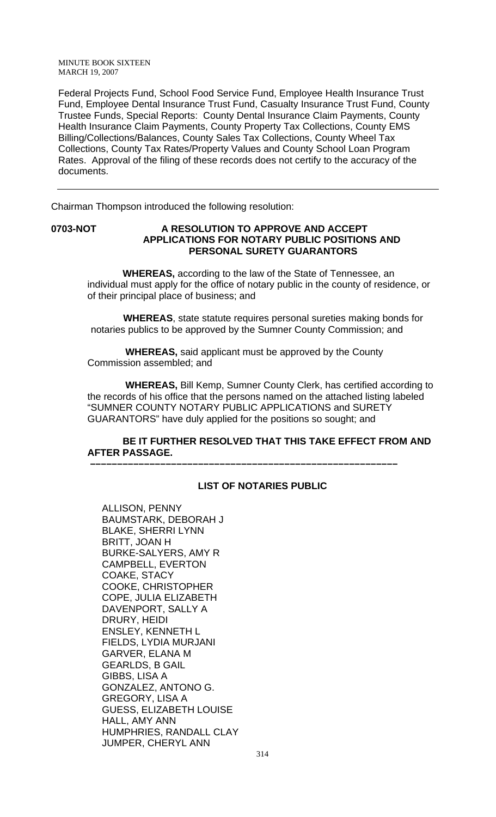Federal Projects Fund, School Food Service Fund, Employee Health Insurance Trust Fund, Employee Dental Insurance Trust Fund, Casualty Insurance Trust Fund, County Trustee Funds, Special Reports: County Dental Insurance Claim Payments, County Health Insurance Claim Payments, County Property Tax Collections, County EMS Billing/Collections/Balances, County Sales Tax Collections, County Wheel Tax Collections, County Tax Rates/Property Values and County School Loan Program Rates. Approval of the filing of these records does not certify to the accuracy of the documents.

Chairman Thompson introduced the following resolution:

### **0703-NOT A RESOLUTION TO APPROVE AND ACCEPT APPLICATIONS FOR NOTARY PUBLIC POSITIONS AND PERSONAL SURETY GUARANTORS**

 **WHEREAS,** according to the law of the State of Tennessee, an individual must apply for the office of notary public in the county of residence, or of their principal place of business; and

 **WHEREAS**, state statute requires personal sureties making bonds for notaries publics to be approved by the Sumner County Commission; and

 **WHEREAS,** said applicant must be approved by the County Commission assembled; and

 **–––––––––––––––––––––––––––––––––––––––––––––––––––––––––**

 **WHEREAS,** Bill Kemp, Sumner County Clerk, has certified according to the records of his office that the persons named on the attached listing labeled "SUMNER COUNTY NOTARY PUBLIC APPLICATIONS and SURETY GUARANTORS" have duly applied for the positions so sought; and

### **BE IT FURTHER RESOLVED THAT THIS TAKE EFFECT FROM AND AFTER PASSAGE.**

## **LIST OF NOTARIES PUBLIC**

ALLISON, PENNY BAUMSTARK, DEBORAH J BLAKE, SHERRI LYNN BRITT, JOAN H BURKE-SALYERS, AMY R CAMPBELL, EVERTON COAKE, STACY COOKE, CHRISTOPHER COPE, JULIA ELIZABETH DAVENPORT, SALLY A DRURY, HEIDI ENSLEY, KENNETH L FIELDS, LYDIA MURJANI GARVER, ELANA M GEARLDS, B GAIL GIBBS, LISA A GONZALEZ, ANTONO G. GREGORY, LISA A GUESS, ELIZABETH LOUISE HALL, AMY ANN HUMPHRIES, RANDALL CLAY JUMPER, CHERYL ANN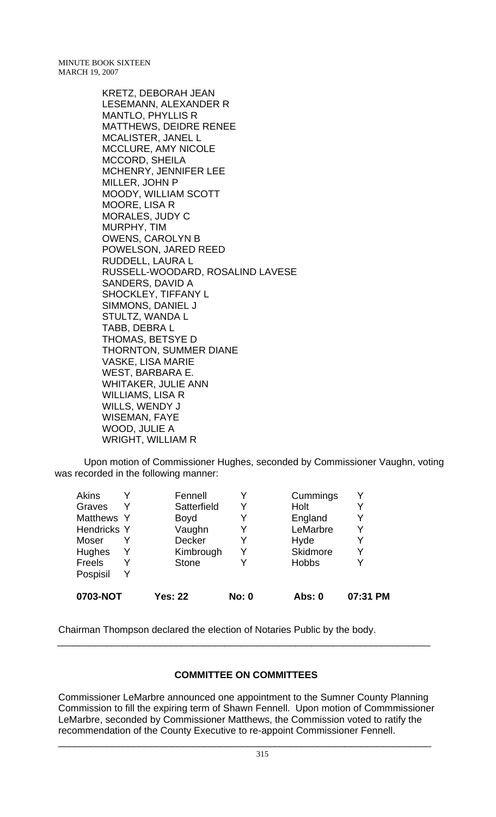> KRETZ, DEBORAH JEAN LESEMANN, ALEXANDER R MANTLO, PHYLLIS R MATTHEWS, DEIDRE RENEE MCALISTER, JANEL L MCCLURE, AMY NICOLE MCCORD, SHEILA MCHENRY, JENNIFER LEE MILLER, JOHN P MOODY, WILLIAM SCOTT MOORE, LISA R MORALES, JUDY C MURPHY, TIM OWENS, CAROLYN B POWELSON, JARED REED RUDDELL, LAURA L RUSSELL-WOODARD, ROSALIND LAVESE SANDERS, DAVID A SHOCKLEY, TIFFANY L SIMMONS, DANIEL J STULTZ, WANDA L TABB, DEBRA L THOMAS, BETSYE D THORNTON, SUMMER DIANE VASKE, LISA MARIE WEST, BARBARA E. WHITAKER, JULIE ANN WILLIAMS, LISA R WILLS, WENDY J WISEMAN, FAYE WOOD, JULIE A WRIGHT, WILLIAM R

Upon motion of Commissioner Hughes, seconded by Commissioner Vaughn, voting was recorded in the following manner:

| 0703-NOT           |   | <b>Yes: 22</b> | <b>No: 0</b> | Abs: 0          | 07:31 PM |
|--------------------|---|----------------|--------------|-----------------|----------|
| Pospisil           | Y |                |              |                 |          |
| Freels             | Y | <b>Stone</b>   | v            | <b>Hobbs</b>    |          |
| Hughes             | Y | Kimbrough      | Y            | <b>Skidmore</b> | Y        |
| Moser              |   | <b>Decker</b>  | Y            | Hyde            |          |
| <b>Hendricks Y</b> |   | Vaughn         | Y            | LeMarbre        | Y        |
| Matthews Y         |   | <b>Boyd</b>    | Y            | England         | Y        |
| Graves             | Y | Satterfield    | Y            | Holt            | Y        |
| Akins              |   | Fennell        |              | Cummings        |          |

Chairman Thompson declared the election of Notaries Public by the body.

# **COMMITTEE ON COMMITTEES**

\_\_\_\_\_\_\_\_\_\_\_\_\_\_\_\_\_\_\_\_\_\_\_\_\_\_\_\_\_\_\_\_\_\_\_\_\_\_\_\_\_\_\_\_\_\_\_\_\_\_\_\_\_\_\_\_\_\_\_\_\_\_\_\_\_\_\_\_\_

Commissioner LeMarbre announced one appointment to the Sumner County Planning Commission to fill the expiring term of Shawn Fennell. Upon motion of Commmissioner LeMarbre, seconded by Commissioner Matthews, the Commission voted to ratify the recommendation of the County Executive to re-appoint Commissioner Fennell.

\_\_\_\_\_\_\_\_\_\_\_\_\_\_\_\_\_\_\_\_\_\_\_\_\_\_\_\_\_\_\_\_\_\_\_\_\_\_\_\_\_\_\_\_\_\_\_\_\_\_\_\_\_\_\_\_\_\_\_\_\_\_\_\_\_\_\_\_\_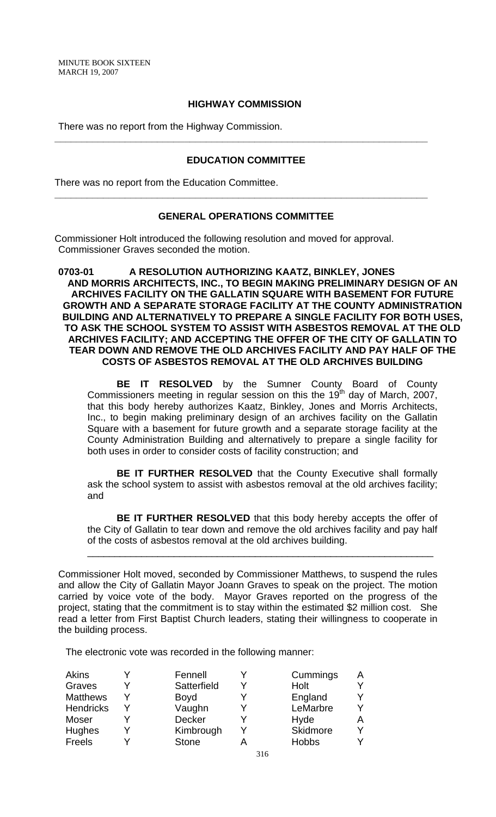#### **HIGHWAY COMMISSION**

There was no report from the Highway Commission.

# **EDUCATION COMMITTEE**

**\_\_\_\_\_\_\_\_\_\_\_\_\_\_\_\_\_\_\_\_\_\_\_\_\_\_\_\_\_\_\_\_\_\_\_\_\_\_\_\_\_\_\_\_\_\_\_\_\_\_\_\_\_\_\_\_\_\_\_\_\_\_\_\_\_\_\_\_\_**

There was no report from the Education Committee.

### **GENERAL OPERATIONS COMMITTEE**

**\_\_\_\_\_\_\_\_\_\_\_\_\_\_\_\_\_\_\_\_\_\_\_\_\_\_\_\_\_\_\_\_\_\_\_\_\_\_\_\_\_\_\_\_\_\_\_\_\_\_\_\_\_\_\_\_\_\_\_\_\_\_\_\_\_\_\_\_\_**

Commissioner Holt introduced the following resolution and moved for approval. Commissioner Graves seconded the motion.

**0703-01 A RESOLUTION AUTHORIZING KAATZ, BINKLEY, JONES AND MORRIS ARCHITECTS, INC., TO BEGIN MAKING PRELIMINARY DESIGN OF AN ARCHIVES FACILITY ON THE GALLATIN SQUARE WITH BASEMENT FOR FUTURE GROWTH AND A SEPARATE STORAGE FACILITY AT THE COUNTY ADMINISTRATION BUILDING AND ALTERNATIVELY TO PREPARE A SINGLE FACILITY FOR BOTH USES, TO ASK THE SCHOOL SYSTEM TO ASSIST WITH ASBESTOS REMOVAL AT THE OLD ARCHIVES FACILITY; AND ACCEPTING THE OFFER OF THE CITY OF GALLATIN TO TEAR DOWN AND REMOVE THE OLD ARCHIVES FACILITY AND PAY HALF OF THE COSTS OF ASBESTOS REMOVAL AT THE OLD ARCHIVES BUILDING**

**BE IT RESOLVED** by the Sumner County Board of County Commissioners meeting in regular session on this the  $19<sup>th</sup>$  day of March, 2007, that this body hereby authorizes Kaatz, Binkley, Jones and Morris Architects, Inc., to begin making preliminary design of an archives facility on the Gallatin Square with a basement for future growth and a separate storage facility at the County Administration Building and alternatively to prepare a single facility for both uses in order to consider costs of facility construction; and

**BE IT FURTHER RESOLVED** that the County Executive shall formally ask the school system to assist with asbestos removal at the old archives facility; and

**BE IT FURTHER RESOLVED** that this body hereby accepts the offer of the City of Gallatin to tear down and remove the old archives facility and pay half of the costs of asbestos removal at the old archives building.

\_\_\_\_\_\_\_\_\_\_\_\_\_\_\_\_\_\_\_\_\_\_\_\_\_\_\_\_\_\_\_\_\_\_\_\_\_\_\_\_\_\_\_\_\_\_\_\_\_\_\_\_\_\_\_\_\_\_\_\_\_\_\_\_

Commissioner Holt moved, seconded by Commissioner Matthews, to suspend the rules and allow the City of Gallatin Mayor Joann Graves to speak on the project. The motion carried by voice vote of the body. Mayor Graves reported on the progress of the project, stating that the commitment is to stay within the estimated \$2 million cost. She read a letter from First Baptist Church leaders, stating their willingness to cooperate in the building process.

The electronic vote was recorded in the following manner:

| Akins           | Fennell      | Cummings     | A |
|-----------------|--------------|--------------|---|
| Graves          | Satterfield  | Holt         | Y |
| <b>Matthews</b> | <b>Boyd</b>  | England      | Y |
| Hendricks       | Vaughn       | LeMarbre     | Y |
| Moser           | Decker       | Hyde         | Α |
| Hughes          | Kimbrough    | Skidmore     | Y |
| Freels          | <b>Stone</b> | <b>Hobbs</b> |   |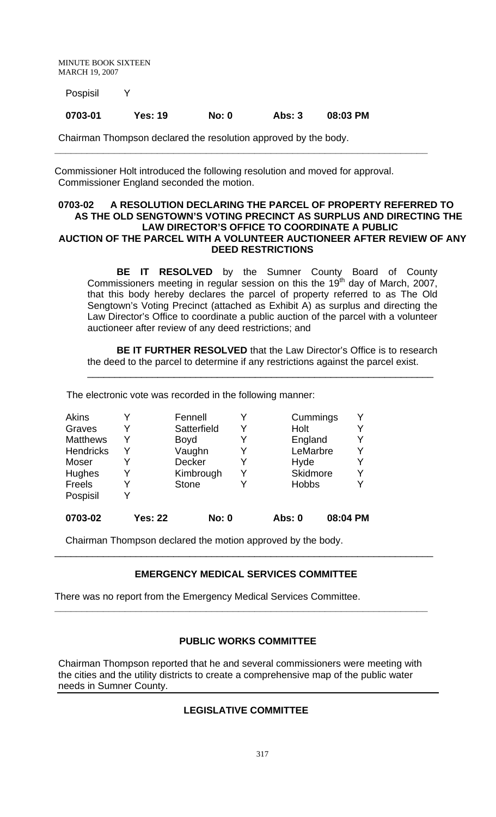Pospisil Y

### **0703-01 Yes: 19 No: 0 Abs: 3 08:03 PM**

Chairman Thompson declared the resolution approved by the body.

Commissioner Holt introduced the following resolution and moved for approval. Commissioner England seconded the motion.

**\_\_\_\_\_\_\_\_\_\_\_\_\_\_\_\_\_\_\_\_\_\_\_\_\_\_\_\_\_\_\_\_\_\_\_\_\_\_\_\_\_\_\_\_\_\_\_\_\_\_\_\_\_\_\_\_\_\_\_\_\_\_\_\_\_\_\_\_\_**

### **0703-02 A RESOLUTION DECLARING THE PARCEL OF PROPERTY REFERRED TO AS THE OLD SENGTOWN'S VOTING PRECINCT AS SURPLUS AND DIRECTING THE LAW DIRECTOR'S OFFICE TO COORDINATE A PUBLIC AUCTION OF THE PARCEL WITH A VOLUNTEER AUCTIONEER AFTER REVIEW OF ANY DEED RESTRICTIONS**

**BE IT RESOLVED** by the Sumner County Board of County Commissioners meeting in regular session on this the 19<sup>th</sup> day of March, 2007, that this body hereby declares the parcel of property referred to as The Old Sengtown's Voting Precinct (attached as Exhibit A) as surplus and directing the Law Director's Office to coordinate a public auction of the parcel with a volunteer auctioneer after review of any deed restrictions; and

**BE IT FURTHER RESOLVED** that the Law Director's Office is to research the deed to the parcel to determine if any restrictions against the parcel exist.

\_\_\_\_\_\_\_\_\_\_\_\_\_\_\_\_\_\_\_\_\_\_\_\_\_\_\_\_\_\_\_\_\_\_\_\_\_\_\_\_\_\_\_\_\_\_\_\_\_\_\_\_\_\_\_\_\_\_\_\_\_\_\_\_

The electronic vote was recorded in the following manner:

| <b>Akins</b>     |                | Fennell      |   | Cummings        | Y        |
|------------------|----------------|--------------|---|-----------------|----------|
| Graves           |                | Satterfield  | Y | Holt            | Y        |
| <b>Matthews</b>  | Y              | <b>Boyd</b>  |   | England         | Y        |
| <b>Hendricks</b> | Y              | Vaughn       |   | LeMarbre        | Y        |
| Moser            |                | Decker       | Y | Hyde            | Y        |
| Hughes           |                | Kimbrough    | Y | <b>Skidmore</b> | Y        |
| Freels           |                | <b>Stone</b> |   | <b>Hobbs</b>    | Y        |
| Pospisil         |                |              |   |                 |          |
| 0703-02          | <b>Yes: 22</b> | <b>No: 0</b> |   | Abs: 0          | 08:04 PM |

Chairman Thompson declared the motion approved by the body.

### **EMERGENCY MEDICAL SERVICES COMMITTEE**

**\_\_\_\_\_\_\_\_\_\_\_\_\_\_\_\_\_\_\_\_\_\_\_\_\_\_\_\_\_\_\_\_\_\_\_\_\_\_\_\_\_\_\_\_\_\_\_\_\_\_\_\_\_\_\_\_\_\_\_\_\_\_\_\_\_\_\_\_\_**

\_\_\_\_\_\_\_\_\_\_\_\_\_\_\_\_\_\_\_\_\_\_\_\_\_\_\_\_\_\_\_\_\_\_\_\_\_\_\_\_\_\_\_\_\_\_\_\_\_\_\_\_\_\_\_\_\_\_\_\_\_\_\_\_\_\_\_\_\_\_

There was no report from the Emergency Medical Services Committee.

### **PUBLIC WORKS COMMITTEE**

Chairman Thompson reported that he and several commissioners were meeting with the cities and the utility districts to create a comprehensive map of the public water needs in Sumner County.

# **LEGISLATIVE COMMITTEE**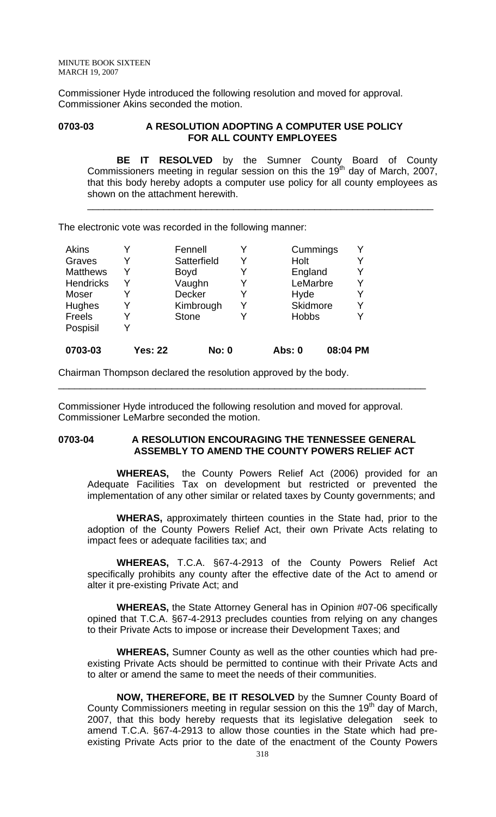Commissioner Hyde introduced the following resolution and moved for approval. Commissioner Akins seconded the motion.

### 0703-03 A RESOLUTION ADOPTING A COMPUTER USE POLICY **FOR ALL COUNTY EMPLOYEES**

**BE IT RESOLVED** by the Sumner County Board of County Commissioners meeting in regular session on this the 19<sup>th</sup> day of March, 2007, that this body hereby adopts a computer use policy for all county employees as shown on the attachment herewith.

\_\_\_\_\_\_\_\_\_\_\_\_\_\_\_\_\_\_\_\_\_\_\_\_\_\_\_\_\_\_\_\_\_\_\_\_\_\_\_\_\_\_\_\_\_\_\_\_\_\_\_\_\_\_\_\_\_\_\_\_\_\_\_\_

The electronic vote was recorded in the following manner:

| <b>Akins</b>     |                | Fennell       |   | Cummings      |          | Y |
|------------------|----------------|---------------|---|---------------|----------|---|
| Graves           |                | Satterfield   |   | Holt          |          | Y |
| <b>Matthews</b>  |                | <b>Boyd</b>   |   | England       |          | Y |
| <b>Hendricks</b> | Y              | Vaughn        | Y | LeMarbre      |          | Y |
| Moser            |                | <b>Decker</b> |   | Hyde          |          | Y |
| <b>Hughes</b>    |                | Kimbrough     | Y | Skidmore      |          | Y |
| Freels           |                | <b>Stone</b>  |   | <b>Hobbs</b>  |          | Y |
| Pospisil         |                |               |   |               |          |   |
| 0703-03          | <b>Yes: 22</b> | <b>No: 0</b>  |   | <b>Abs: 0</b> | 08:04 PM |   |

Chairman Thompson declared the resolution approved by the body.

Commissioner Hyde introduced the following resolution and moved for approval. Commissioner LeMarbre seconded the motion.

### **0703-04 A RESOLUTION ENCOURAGING THE TENNESSEE GENERAL ASSEMBLY TO AMEND THE COUNTY POWERS RELIEF ACT**

\_\_\_\_\_\_\_\_\_\_\_\_\_\_\_\_\_\_\_\_\_\_\_\_\_\_\_\_\_\_\_\_\_\_\_\_\_\_\_\_\_\_\_\_\_\_\_\_\_\_\_\_\_\_\_\_\_\_\_\_\_\_\_\_\_\_\_\_

**WHEREAS,** the County Powers Relief Act (2006) provided for an Adequate Facilities Tax on development but restricted or prevented the implementation of any other similar or related taxes by County governments; and

**WHERAS,** approximately thirteen counties in the State had, prior to the adoption of the County Powers Relief Act, their own Private Acts relating to impact fees or adequate facilities tax; and

**WHEREAS,** T.C.A. §67-4-2913 of the County Powers Relief Act specifically prohibits any county after the effective date of the Act to amend or alter it pre-existing Private Act; and

**WHEREAS,** the State Attorney General has in Opinion #07-06 specifically opined that T.C.A. §67-4-2913 precludes counties from relying on any changes to their Private Acts to impose or increase their Development Taxes; and

**WHEREAS,** Sumner County as well as the other counties which had preexisting Private Acts should be permitted to continue with their Private Acts and to alter or amend the same to meet the needs of their communities.

**NOW, THEREFORE, BE IT RESOLVED** by the Sumner County Board of County Commissioners meeting in regular session on this the 19<sup>th</sup> day of March, 2007, that this body hereby requests that its legislative delegation seek to amend T.C.A. §67-4-2913 to allow those counties in the State which had preexisting Private Acts prior to the date of the enactment of the County Powers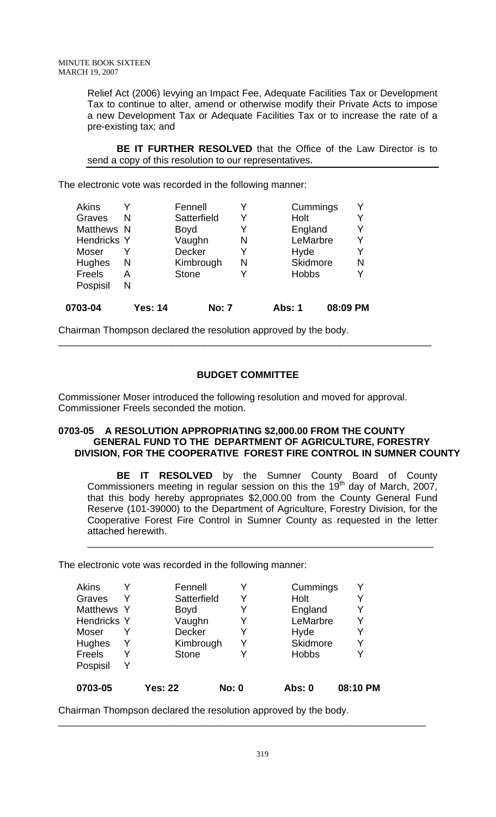Relief Act (2006) levying an Impact Fee, Adequate Facilities Tax or Development Tax to continue to alter, amend or otherwise modify their Private Acts to impose a new Development Tax or Adequate Facilities Tax or to increase the rate of a pre-existing tax; and

**BE IT FURTHER RESOLVED** that the Office of the Law Director is to send a copy of this resolution to our representatives.

The electronic vote was recorded in the following manner:

| 0703-04            | Yes: 14 | No: 7        |   | Abs: 1          | 08:09 PM |
|--------------------|---------|--------------|---|-----------------|----------|
| Pospisil           | N       |              |   |                 |          |
| Freels             | A       | <b>Stone</b> |   | <b>Hobbs</b>    |          |
| Hughes             | N       | Kimbrough    | N | <b>Skidmore</b> | N        |
| Moser              |         | Decker       | Y | Hyde            | Y        |
| <b>Hendricks Y</b> |         | Vaughn       | N | LeMarbre        | Y        |
| Matthews N         |         | <b>Boyd</b>  |   | England         |          |
| Graves             | N       | Satterfield  | Y | Holt            |          |
| <b>Akins</b>       |         | Fennell      |   | Cummings        |          |

Chairman Thompson declared the resolution approved by the body.

# **BUDGET COMMITTEE**

\_\_\_\_\_\_\_\_\_\_\_\_\_\_\_\_\_\_\_\_\_\_\_\_\_\_\_\_\_\_\_\_\_\_\_\_\_\_\_\_\_\_\_\_\_\_\_\_\_\_\_\_\_\_\_\_\_\_\_\_\_\_\_\_\_\_\_\_\_

Commissioner Moser introduced the following resolution and moved for approval. Commissioner Freels seconded the motion.

### **0703-05 A RESOLUTION APPROPRIATING \$2,000.00 FROM THE COUNTY GENERAL FUND TO THE DEPARTMENT OF AGRICULTURE, FORESTRY DIVISION, FOR THE COOPERATIVE FOREST FIRE CONTROL IN SUMNER COUNTY**

**BE IT RESOLVED** by the Sumner County Board of County Commissioners meeting in regular session on this the 19<sup>th</sup> day of March, 2007, that this body hereby appropriates \$2,000.00 from the County General Fund Reserve (101-39000) to the Department of Agriculture, Forestry Division, for the Cooperative Forest Fire Control in Sumner County as requested in the letter attached herewith.

\_\_\_\_\_\_\_\_\_\_\_\_\_\_\_\_\_\_\_\_\_\_\_\_\_\_\_\_\_\_\_\_\_\_\_\_\_\_\_\_\_\_\_\_\_\_\_\_\_\_\_\_\_\_\_\_\_\_\_\_\_\_\_\_

The electronic vote was recorded in the following manner:

| Akins              |   | Fennell        |              | Cummings        | Υ        |
|--------------------|---|----------------|--------------|-----------------|----------|
| Graves             | Y | Satterfield    | Y            | Holt            |          |
| Matthews Y         |   | <b>Boyd</b>    | Y            | England         | Y        |
| <b>Hendricks Y</b> |   | Vaughn         | Y            | LeMarbre        | Y        |
| Moser              |   | Decker         | Y            | Hyde            | Y        |
| Hughes             | Y | Kimbrough      | Y            | <b>Skidmore</b> | Y        |
| Freels             | Y | <b>Stone</b>   |              | <b>Hobbs</b>    |          |
| Pospisil           | Y |                |              |                 |          |
| 0703-05            |   | <b>Yes: 22</b> | <b>No: 0</b> | <b>Abs: 0</b>   | 08:10 PM |

Chairman Thompson declared the resolution approved by the body.

\_\_\_\_\_\_\_\_\_\_\_\_\_\_\_\_\_\_\_\_\_\_\_\_\_\_\_\_\_\_\_\_\_\_\_\_\_\_\_\_\_\_\_\_\_\_\_\_\_\_\_\_\_\_\_\_\_\_\_\_\_\_\_\_\_\_\_\_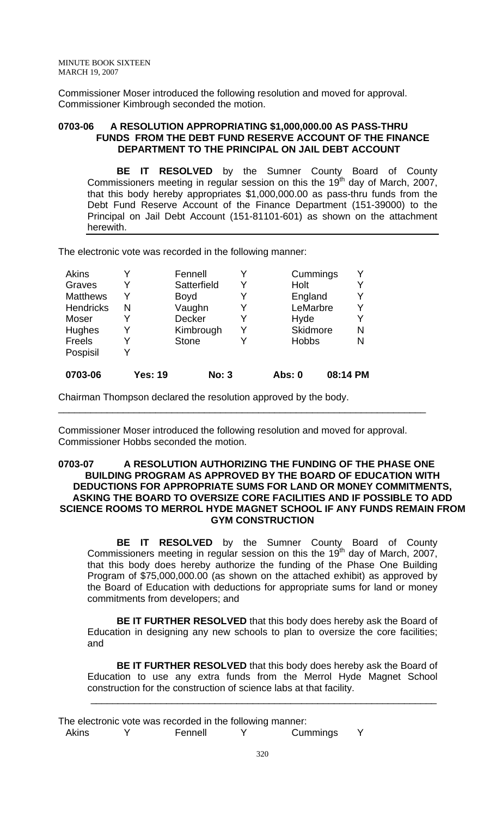Commissioner Moser introduced the following resolution and moved for approval. Commissioner Kimbrough seconded the motion.

#### **0703-06 A RESOLUTION APPROPRIATING \$1,000,000.00 AS PASS-THRU FUNDS FROM THE DEBT FUND RESERVE ACCOUNT OF THE FINANCE DEPARTMENT TO THE PRINCIPAL ON JAIL DEBT ACCOUNT**

**BE IT RESOLVED** by the Sumner County Board of County Commissioners meeting in regular session on this the 19<sup>th</sup> day of March, 2007, that this body hereby appropriates \$1,000,000.00 as pass-thru funds from the Debt Fund Reserve Account of the Finance Department (151-39000) to the Principal on Jail Debt Account (151-81101-601) as shown on the attachment herewith.

The electronic vote was recorded in the following manner:

| <b>Akins</b>     |                | Fennell      | Cummings        |          | v |
|------------------|----------------|--------------|-----------------|----------|---|
| Graves           |                | Satterfield  | Holt            |          |   |
| <b>Matthews</b>  |                | <b>Boyd</b>  | England         |          |   |
| <b>Hendricks</b> | N              | Vaughn       | LeMarbre        |          | Y |
| Moser            |                | Decker       | Hyde            |          |   |
| <b>Hughes</b>    |                | Kimbrough    | <b>Skidmore</b> |          | N |
| Freels           |                | <b>Stone</b> | <b>Hobbs</b>    |          | N |
| Pospisil         |                |              |                 |          |   |
| 0703-06          | <b>Yes: 19</b> | <b>No: 3</b> | Abs: 0          | 08:14 PM |   |

Chairman Thompson declared the resolution approved by the body.

Commissioner Moser introduced the following resolution and moved for approval. Commissioner Hobbs seconded the motion.

\_\_\_\_\_\_\_\_\_\_\_\_\_\_\_\_\_\_\_\_\_\_\_\_\_\_\_\_\_\_\_\_\_\_\_\_\_\_\_\_\_\_\_\_\_\_\_\_\_\_\_\_\_\_\_\_\_\_\_\_\_\_\_\_\_\_\_\_

### **0703-07 A RESOLUTION AUTHORIZING THE FUNDING OF THE PHASE ONE BUILDING PROGRAM AS APPROVED BY THE BOARD OF EDUCATION WITH DEDUCTIONS FOR APPROPRIATE SUMS FOR LAND OR MONEY COMMITMENTS, ASKING THE BOARD TO OVERSIZE CORE FACILITIES AND IF POSSIBLE TO ADD SCIENCE ROOMS TO MERROL HYDE MAGNET SCHOOL IF ANY FUNDS REMAIN FROM GYM CONSTRUCTION**

**BE IT RESOLVED** by the Sumner County Board of County Commissioners meeting in regular session on this the 19<sup>th</sup> day of March, 2007, that this body does hereby authorize the funding of the Phase One Building Program of \$75,000,000.00 (as shown on the attached exhibit) as approved by the Board of Education with deductions for appropriate sums for land or money commitments from developers; and

**BE IT FURTHER RESOLVED** that this body does hereby ask the Board of Education in designing any new schools to plan to oversize the core facilities; and

**BE IT FURTHER RESOLVED** that this body does hereby ask the Board of Education to use any extra funds from the Merrol Hyde Magnet School construction for the construction of science labs at that facility.

\_\_\_\_\_\_\_\_\_\_\_\_\_\_\_\_\_\_\_\_\_\_\_\_\_\_\_\_\_\_\_\_\_\_\_\_\_\_\_\_\_\_\_\_\_\_\_\_\_\_\_\_\_\_\_\_\_\_\_\_\_\_\_\_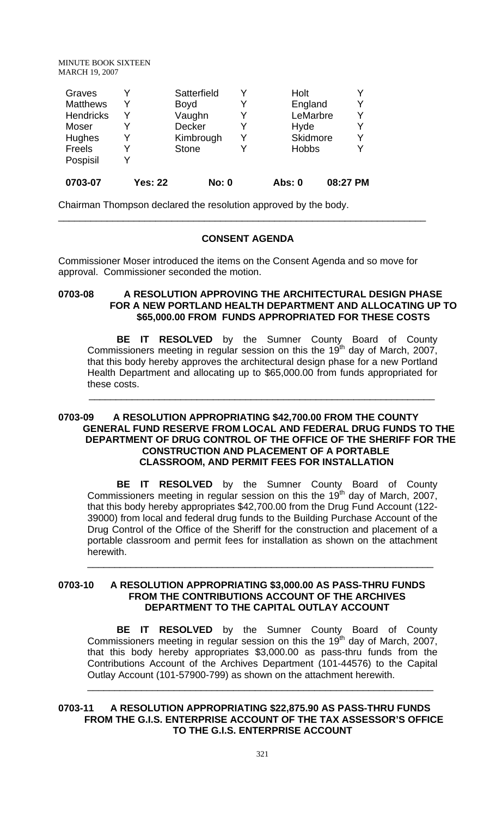| Hughes<br><b>Freels</b><br>Pospisil<br>0703-07         | <b>Yes: 22</b> | Kimbrough<br><b>Stone</b><br><b>No: 0</b>      | V<br>v           | Skidmore<br><b>Hobbs</b><br><b>Abs: 0</b> | Y<br>Y<br>08:27 PM |
|--------------------------------------------------------|----------------|------------------------------------------------|------------------|-------------------------------------------|--------------------|
| Graves<br><b>Matthews</b><br><b>Hendricks</b><br>Moser | Y<br>Y         | Satterfield<br><b>Boyd</b><br>Vaughn<br>Decker | Y<br>Y<br>Y<br>Y | Holt<br>England<br>LeMarbre<br>Hyde       | Y<br>Y<br>Υ<br>Y   |

Chairman Thompson declared the resolution approved by the body.

#### **CONSENT AGENDA**

\_\_\_\_\_\_\_\_\_\_\_\_\_\_\_\_\_\_\_\_\_\_\_\_\_\_\_\_\_\_\_\_\_\_\_\_\_\_\_\_\_\_\_\_\_\_\_\_\_\_\_\_\_\_\_\_\_\_\_\_\_\_\_\_\_\_\_\_

Commissioner Moser introduced the items on the Consent Agenda and so move for approval. Commissioner seconded the motion.

# **0703-08 A RESOLUTION APPROVING THE ARCHITECTURAL DESIGN PHASE FOR A NEW PORTLAND HEALTH DEPARTMENT AND ALLOCATING UP TO \$65,000.00 FROM FUNDS APPROPRIATED FOR THESE COSTS**

**BE IT RESOLVED** by the Sumner County Board of County Commissioners meeting in regular session on this the 19<sup>th</sup> day of March, 2007, that this body hereby approves the architectural design phase for a new Portland Health Department and allocating up to \$65,000.00 from funds appropriated for these costs.

### **0703-09 A RESOLUTION APPROPRIATING \$42,700.00 FROM THE COUNTY GENERAL FUND RESERVE FROM LOCAL AND FEDERAL DRUG FUNDS TO THE DEPARTMENT OF DRUG CONTROL OF THE OFFICE OF THE SHERIFF FOR THE CONSTRUCTION AND PLACEMENT OF A PORTABLE CLASSROOM, AND PERMIT FEES FOR INSTALLATION**

\_\_\_\_\_\_\_\_\_\_\_\_\_\_\_\_\_\_\_\_\_\_\_\_\_\_\_\_\_\_\_\_\_\_\_\_\_\_\_\_\_\_\_\_\_\_\_\_\_\_\_\_\_\_\_\_\_\_\_\_\_\_\_\_

**BE IT RESOLVED** by the Sumner County Board of County Commissioners meeting in regular session on this the 19<sup>th</sup> day of March, 2007, that this body hereby appropriates \$42,700.00 from the Drug Fund Account (122- 39000) from local and federal drug funds to the Building Purchase Account of the Drug Control of the Office of the Sheriff for the construction and placement of a portable classroom and permit fees for installation as shown on the attachment herewith.

\_\_\_\_\_\_\_\_\_\_\_\_\_\_\_\_\_\_\_\_\_\_\_\_\_\_\_\_\_\_\_\_\_\_\_\_\_\_\_\_\_\_\_\_\_\_\_\_\_\_\_\_\_\_\_\_\_\_\_\_\_\_\_\_

#### **0703-10 A RESOLUTION APPROPRIATING \$3,000.00 AS PASS-THRU FUNDS FROM THE CONTRIBUTIONS ACCOUNT OF THE ARCHIVES DEPARTMENT TO THE CAPITAL OUTLAY ACCOUNT**

**BE IT RESOLVED** by the Sumner County Board of County Commissioners meeting in regular session on this the  $19<sup>th</sup>$  day of March, 2007, that this body hereby appropriates \$3,000.00 as pass-thru funds from the Contributions Account of the Archives Department (101-44576) to the Capital Outlay Account (101-57900-799) as shown on the attachment herewith.

\_\_\_\_\_\_\_\_\_\_\_\_\_\_\_\_\_\_\_\_\_\_\_\_\_\_\_\_\_\_\_\_\_\_\_\_\_\_\_\_\_\_\_\_\_\_\_\_\_\_\_\_\_\_\_\_\_\_\_\_\_\_\_\_

# **0703-11 A RESOLUTION APPROPRIATING \$22,875.90 AS PASS-THRU FUNDS FROM THE G.I.S. ENTERPRISE ACCOUNT OF THE TAX ASSESSOR'S OFFICE TO THE G.I.S. ENTERPRISE ACCOUNT**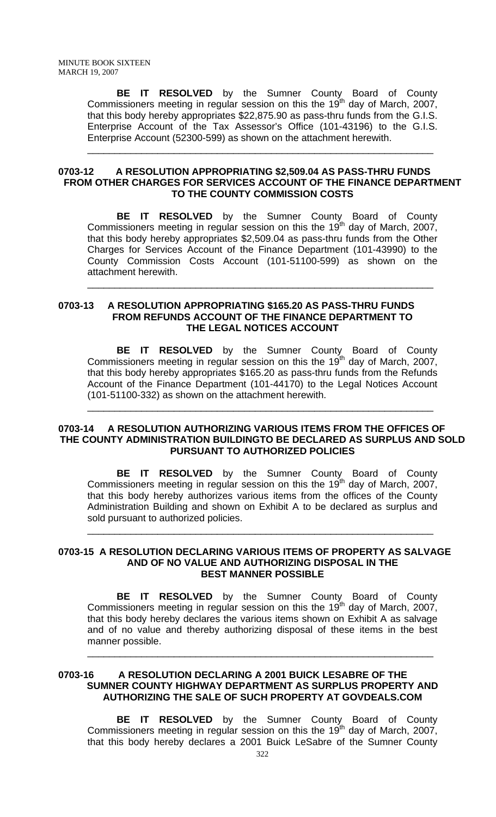**BE IT RESOLVED** by the Sumner County Board of County Commissioners meeting in regular session on this the 19<sup>th</sup> day of March, 2007, that this body hereby appropriates \$22,875.90 as pass-thru funds from the G.I.S. Enterprise Account of the Tax Assessor's Office (101-43196) to the G.I.S. Enterprise Account (52300-599) as shown on the attachment herewith.

#### **0703-12 A RESOLUTION APPROPRIATING \$2,509.04 AS PASS-THRU FUNDS FROM OTHER CHARGES FOR SERVICES ACCOUNT OF THE FINANCE DEPARTMENT TO THE COUNTY COMMISSION COSTS**

\_\_\_\_\_\_\_\_\_\_\_\_\_\_\_\_\_\_\_\_\_\_\_\_\_\_\_\_\_\_\_\_\_\_\_\_\_\_\_\_\_\_\_\_\_\_\_\_\_\_\_\_\_\_\_\_\_\_\_\_\_\_\_\_

**BE IT RESOLVED** by the Sumner County Board of County Commissioners meeting in regular session on this the 19<sup>th</sup> day of March, 2007, that this body hereby appropriates \$2,509.04 as pass-thru funds from the Other Charges for Services Account of the Finance Department (101-43990) to the County Commission Costs Account (101-51100-599) as shown on the attachment herewith.

\_\_\_\_\_\_\_\_\_\_\_\_\_\_\_\_\_\_\_\_\_\_\_\_\_\_\_\_\_\_\_\_\_\_\_\_\_\_\_\_\_\_\_\_\_\_\_\_\_\_\_\_\_\_\_\_\_\_\_\_\_\_\_\_

#### **0703-13 A RESOLUTION APPROPRIATING \$165.20 AS PASS-THRU FUNDS FROM REFUNDS ACCOUNT OF THE FINANCE DEPARTMENT TO THE LEGAL NOTICES ACCOUNT**

**BE IT RESOLVED** by the Sumner County Board of County Commissioners meeting in regular session on this the 19<sup>th</sup> day of March, 2007, that this body hereby appropriates \$165.20 as pass-thru funds from the Refunds Account of the Finance Department (101-44170) to the Legal Notices Account (101-51100-332) as shown on the attachment herewith.

### **0703-14 A RESOLUTION AUTHORIZING VARIOUS ITEMS FROM THE OFFICES OF THE COUNTY ADMINISTRATION BUILDINGTO BE DECLARED AS SURPLUS AND SOLD PURSUANT TO AUTHORIZED POLICIES**

\_\_\_\_\_\_\_\_\_\_\_\_\_\_\_\_\_\_\_\_\_\_\_\_\_\_\_\_\_\_\_\_\_\_\_\_\_\_\_\_\_\_\_\_\_\_\_\_\_\_\_\_\_\_\_\_\_\_\_\_\_\_\_\_

**BE IT RESOLVED** by the Sumner County Board of County Commissioners meeting in regular session on this the 19<sup>th</sup> day of March, 2007, that this body hereby authorizes various items from the offices of the County Administration Building and shown on Exhibit A to be declared as surplus and sold pursuant to authorized policies.

\_\_\_\_\_\_\_\_\_\_\_\_\_\_\_\_\_\_\_\_\_\_\_\_\_\_\_\_\_\_\_\_\_\_\_\_\_\_\_\_\_\_\_\_\_\_\_\_\_\_\_\_\_\_\_\_\_\_\_\_\_\_\_\_

#### **0703-15 A RESOLUTION DECLARING VARIOUS ITEMS OF PROPERTY AS SALVAGE AND OF NO VALUE AND AUTHORIZING DISPOSAL IN THE BEST MANNER POSSIBLE**

**BE IT RESOLVED** by the Sumner County Board of County Commissioners meeting in regular session on this the 19<sup>th</sup> day of March, 2007, that this body hereby declares the various items shown on Exhibit A as salvage and of no value and thereby authorizing disposal of these items in the best manner possible.

\_\_\_\_\_\_\_\_\_\_\_\_\_\_\_\_\_\_\_\_\_\_\_\_\_\_\_\_\_\_\_\_\_\_\_\_\_\_\_\_\_\_\_\_\_\_\_\_\_\_\_\_\_\_\_\_\_\_\_\_\_\_\_\_

#### **0703-16 A RESOLUTION DECLARING A 2001 BUICK LESABRE OF THE SUMNER COUNTY HIGHWAY DEPARTMENT AS SURPLUS PROPERTY AND AUTHORIZING THE SALE OF SUCH PROPERTY AT GOVDEALS.COM**

**BE IT RESOLVED** by the Sumner County Board of County Commissioners meeting in regular session on this the 19<sup>th</sup> day of March, 2007, that this body hereby declares a 2001 Buick LeSabre of the Sumner County